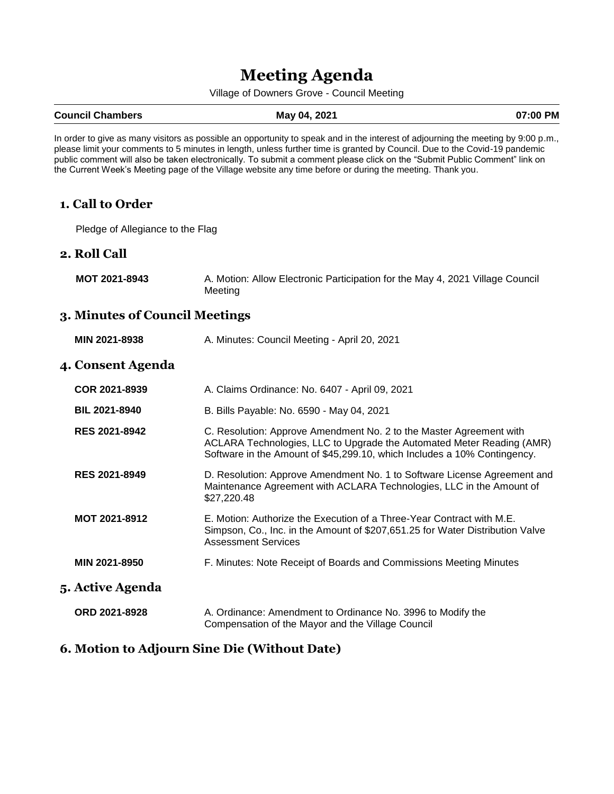# **Meeting Agenda**

Village of Downers Grove - Council Meeting

#### **Council Chambers May 04, 2021 07:00 PM**

In order to give as many visitors as possible an opportunity to speak and in the interest of adjourning the meeting by 9:00 p.m., please limit your comments to 5 minutes in length, unless further time is granted by Council. Due to the Covid-19 pandemic public comment will also be taken electronically. To submit a comment please click on the "Submit Public Comment" link on the Current Week's Meeting page of the Village website any time before or during the meeting. Thank you.

#### **1. Call to Order**

Pledge of Allegiance to the Flag

#### **2. Roll Call**

**MOT 2021-8943** A. Motion: Allow Electronic Participation for the May 4, 2021 Village Council Meeting

#### **3. Minutes of Council Meetings**

| MIN 2021-8938            | A. Minutes: Council Meeting - April 20, 2021                                                                                                                                                                             |
|--------------------------|--------------------------------------------------------------------------------------------------------------------------------------------------------------------------------------------------------------------------|
| <b>4. Consent Agenda</b> |                                                                                                                                                                                                                          |
| COR 2021-8939            | A. Claims Ordinance: No. 6407 - April 09, 2021                                                                                                                                                                           |
| <b>BIL 2021-8940</b>     | B. Bills Payable: No. 6590 - May 04, 2021                                                                                                                                                                                |
| <b>RES 2021-8942</b>     | C. Resolution: Approve Amendment No. 2 to the Master Agreement with<br>ACLARA Technologies, LLC to Upgrade the Automated Meter Reading (AMR)<br>Software in the Amount of \$45,299.10, which Includes a 10% Contingency. |
| <b>RES 2021-8949</b>     | D. Resolution: Approve Amendment No. 1 to Software License Agreement and<br>Maintenance Agreement with ACLARA Technologies, LLC in the Amount of<br>\$27,220.48                                                          |
| MOT 2021-8912            | E. Motion: Authorize the Execution of a Three-Year Contract with M.E.<br>Simpson, Co., Inc. in the Amount of \$207,651.25 for Water Distribution Valve<br><b>Assessment Services</b>                                     |
| MIN 2021-8950            | F. Minutes: Note Receipt of Boards and Commissions Meeting Minutes                                                                                                                                                       |
| 5. Active Agenda         |                                                                                                                                                                                                                          |
| ORD 2021-8928            | A. Ordinance: Amendment to Ordinance No. 3996 to Modify the<br>Compensation of the Mayor and the Village Council                                                                                                         |

#### **6. Motion to Adjourn Sine Die (Without Date)**